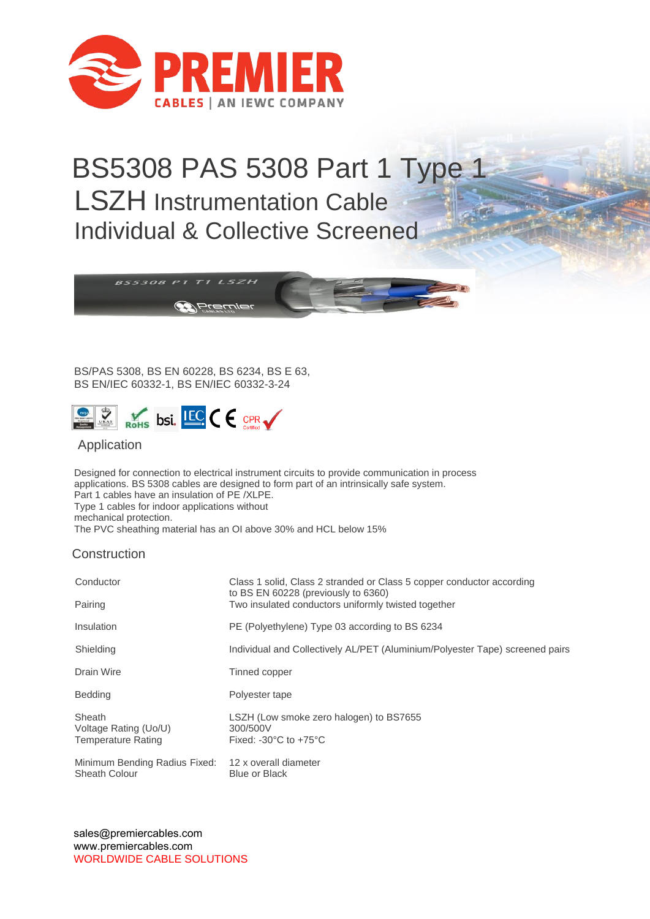

## BS5308 PAS 5308 Part 1 Type 1 LSZH Instrumentation Cable Individual & Collective Screened



BS/PAS 5308, BS EN 60228, BS 6234, BS E 63, BS EN/IEC 60332-1, BS EN/IEC 60332-3-24



## Application

Designed for connection to electrical instrument circuits to provide communication in process applications. BS 5308 cables are designed to form part of an intrinsically safe system. Part 1 cables have an insulation of PE /XLPE. Type 1 cables for indoor applications without mechanical protection.

The PVC sheathing material has an OI above 30% and HCL below 15%

## **Construction**

| Conductor                                             | Class 1 solid, Class 2 stranded or Class 5 copper conductor according<br>to BS EN 60228 (previously to 6360)<br>Two insulated conductors uniformly twisted together |  |  |
|-------------------------------------------------------|---------------------------------------------------------------------------------------------------------------------------------------------------------------------|--|--|
| Pairing                                               |                                                                                                                                                                     |  |  |
| Insulation                                            | PE (Polyethylene) Type 03 according to BS 6234                                                                                                                      |  |  |
| Shielding                                             | Individual and Collectively AL/PET (Aluminium/Polyester Tape) screened pairs                                                                                        |  |  |
| Drain Wire                                            | Tinned copper                                                                                                                                                       |  |  |
| <b>Bedding</b>                                        | Polyester tape                                                                                                                                                      |  |  |
| Sheath<br>Voltage Rating (Uo/U)<br>Temperature Rating | LSZH (Low smoke zero halogen) to BS7655<br>300/500V<br>Fixed: $-30^{\circ}$ C to $+75^{\circ}$ C                                                                    |  |  |
| Minimum Bending Radius Fixed:<br><b>Sheath Colour</b> | 12 x overall diameter<br><b>Blue or Black</b>                                                                                                                       |  |  |

sales@premiercables.com www.premiercables.com WORLDWIDE CABLE SOLUTIONS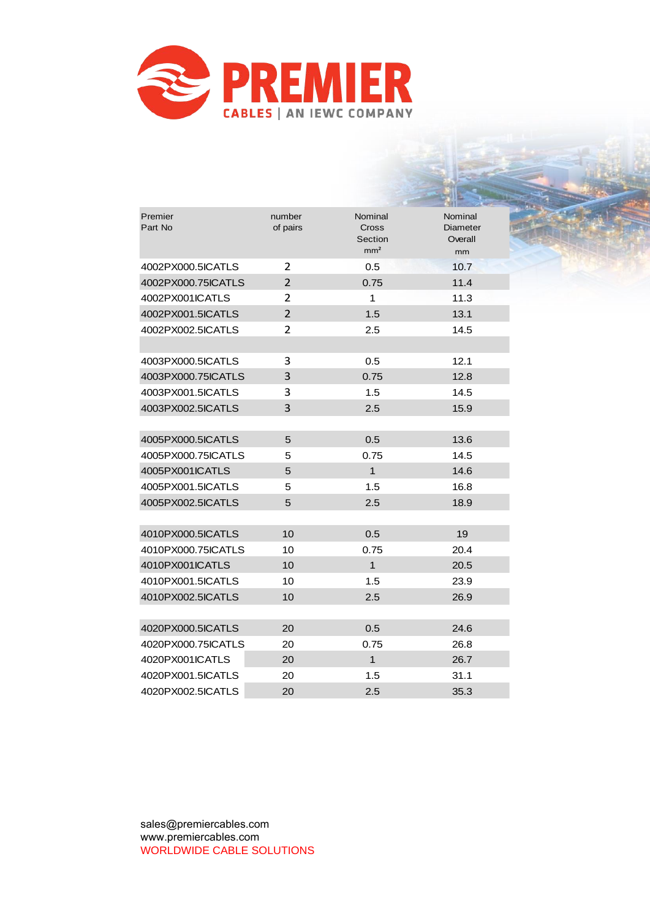

| Premier<br>Part No | number<br>of pairs | Nominal<br>Cross<br>Section<br>mm <sup>2</sup> | Nominal<br><b>Diameter</b><br>Overall<br>mm |
|--------------------|--------------------|------------------------------------------------|---------------------------------------------|
| 4002PX000.5ICATLS  | $\overline{2}$     | 0.5                                            | 10.7                                        |
| 4002PX000.75ICATLS | $\overline{2}$     | 0.75                                           | 11.4                                        |
| 4002PX001ICATLS    | $\overline{2}$     | 1                                              | 11.3                                        |
| 4002PX001.5ICATLS  | $\overline{2}$     | 1.5                                            | 13.1                                        |
| 4002PX002.5ICATLS  | $\overline{2}$     | $2.5\,$                                        | 14.5                                        |
| 4003PX000.5ICATLS  | 3                  | 0.5                                            | 12.1                                        |
| 4003PX000.75ICATLS | 3                  | 0.75                                           | 12.8                                        |
| 4003PX001.5ICATLS  | 3                  | 1.5                                            | 14.5                                        |
| 4003PX002.5ICATLS  | 3                  | 2.5                                            | 15.9                                        |
|                    |                    |                                                |                                             |
| 4005PX000.5ICATLS  | 5                  | 0.5                                            | 13.6                                        |
| 4005PX000.75ICATLS | 5                  | 0.75                                           | 14.5                                        |
| 4005PX001ICATLS    | 5                  | $\mathbf{1}$                                   | 14.6                                        |
| 4005PX001.5ICATLS  | 5                  | 1.5                                            | 16.8                                        |
| 4005PX002.5ICATLS  | 5                  | 2.5                                            | 18.9                                        |
| 4010PX000.5ICATLS  | 10                 | 0.5                                            | 19                                          |
| 4010PX000.75ICATLS | 10                 | 0.75                                           | 20.4                                        |
| 4010PX001ICATLS    | 10                 | 1                                              | 20.5                                        |
| 4010PX001.5ICATLS  | 10                 | 1.5                                            | 23.9                                        |
| 4010PX002.5ICATLS  | 10                 | 2.5                                            | 26.9                                        |
|                    |                    |                                                |                                             |
| 4020PX000.5ICATLS  | 20                 | 0.5                                            | 24.6                                        |
| 4020PX000.75ICATLS | 20                 | 0.75                                           | 26.8                                        |
| 4020PX001ICATLS    | 20                 | $\mathbf 1$                                    | 26.7                                        |
| 4020PX001.5ICATLS  | 20                 | 1.5                                            | 31.1                                        |
| 4020PX002.5ICATLS  | 20                 | 2.5                                            | 35.3                                        |

sales@premiercables.com www.premiercables.com WORLDWIDE CABLE SOLUTIONS